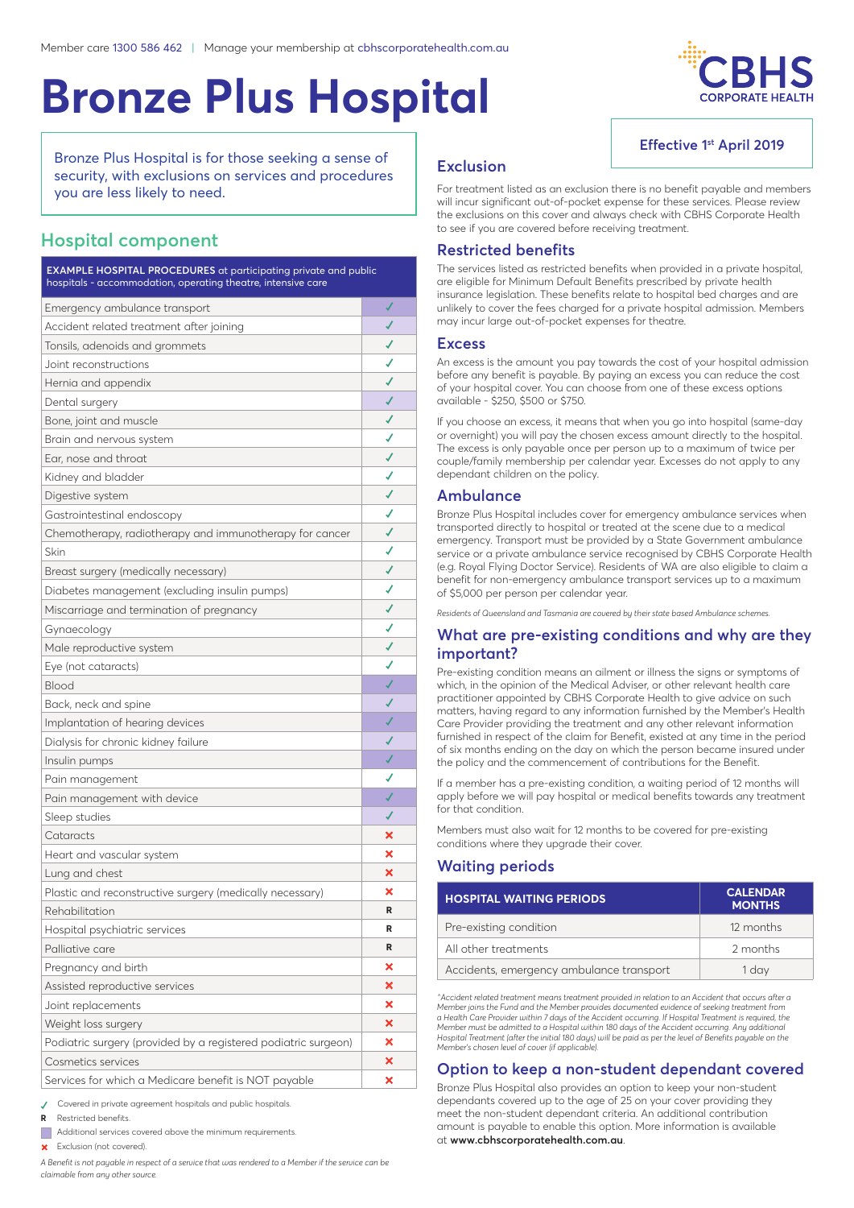# **Bronze Plus Hospital**



**Effective 1st April 2019**

Bronze Plus Hospital is for those seeking a sense of security, with exclusions on services and procedures you are less likely to need.

# **Hospital component**

| <b>EXAMPLE HOSPITAL PROCEDURES</b> at participating private and public<br>hospitals - accommodation, operating theatre, intensive care |   |  |
|----------------------------------------------------------------------------------------------------------------------------------------|---|--|
| Emergency ambulance transport                                                                                                          | √ |  |
| Accident related treatment after joining                                                                                               |   |  |
| Tonsils, adenoids and grommets                                                                                                         |   |  |
| Joint reconstructions                                                                                                                  |   |  |
| Hernia and appendix                                                                                                                    |   |  |
| Dental surgery                                                                                                                         |   |  |
| Bone, joint and muscle                                                                                                                 |   |  |
| Brain and nervous system                                                                                                               |   |  |
| Ear, nose and throat                                                                                                                   |   |  |
| Kidney and bladder                                                                                                                     |   |  |
| Digestive system                                                                                                                       |   |  |
| Gastrointestinal endoscopy                                                                                                             |   |  |
| Chemotherapy, radiotherapy and immunotherapy for cancer                                                                                | ✔ |  |
| Skin                                                                                                                                   |   |  |
| Breast surgery (medically necessary)                                                                                                   |   |  |
| Diabetes management (excluding insulin pumps)                                                                                          |   |  |
| Miscarriage and termination of pregnancy                                                                                               |   |  |
| Gynaecology                                                                                                                            |   |  |
| Male reproductive system                                                                                                               |   |  |
| Eye (not cataracts)                                                                                                                    |   |  |
| Blood                                                                                                                                  |   |  |
| Back, neck and spine                                                                                                                   |   |  |
| Implantation of hearing devices                                                                                                        |   |  |
| Dialysis for chronic kidney failure                                                                                                    |   |  |
| Insulin pumps                                                                                                                          |   |  |
| Pain management                                                                                                                        |   |  |
| Pain management with device                                                                                                            |   |  |
| Sleep studies                                                                                                                          |   |  |
| Cataracts                                                                                                                              | × |  |
| Heart and vascular system                                                                                                              | × |  |
| Lung and chest                                                                                                                         | × |  |
| Plastic and reconstructive surgery (medically necessary)                                                                               | × |  |
| Rehabilitation                                                                                                                         | R |  |
| Hospital psychiatric services                                                                                                          | R |  |
| Palliative care                                                                                                                        | R |  |
| Pregnancy and birth                                                                                                                    | × |  |
| Assisted reproductive services                                                                                                         | × |  |
| Joint replacements                                                                                                                     | × |  |
| Weight loss surgery                                                                                                                    | × |  |
| Podiatric surgery (provided by a registered podiatric surgeon)                                                                         | × |  |
| Cosmetics services                                                                                                                     | × |  |
| Services for which a Medicare benefit is NOT payable                                                                                   | × |  |

**✓** Covered in private agreement hospitals and public hospitals.

**<sup>R</sup>**  Restricted benefits.

 Additional services covered above the minimum requirements.

 Exclusion (not covered).

*A Benefit is not payable in respect of a service that was rendered to a Member if the service can be claimable from any other source.*

## **Exclusion**

For treatment listed as an exclusion there is no benefit payable and members will incur significant out-of-pocket expense for these services. Please review the exclusions on this cover and always check with CBHS Corporate Health to see if you are covered before receiving treatment.

## **Restricted benefits**

The services listed as restricted benefits when provided in a private hospital, are eligible for Minimum Default Benefits prescribed by private health insurance legislation. These benefits relate to hospital bed charges and are unlikely to cover the fees charged for a private hospital admission. Members may incur large out-of-pocket expenses for theatre.

#### **Excess**

An excess is the amount you pay towards the cost of your hospital admission before any benefit is payable. By paying an excess you can reduce the cost of your hospital cover. You can choose from one of these excess options available - \$250, \$500 or \$750.

If you choose an excess, it means that when you go into hospital (same-day or overnight) you will pay the chosen excess amount directly to the hospital. The excess is only payable once per person up to a maximum of twice per couple/family membership per calendar year. Excesses do not apply to any dependant children on the policy.

### **Ambulance**

Bronze Plus Hospital includes cover for emergency ambulance services when transported directly to hospital or treated at the scene due to a medical emergency. Transport must be provided by a State Government ambulance service or a private ambulance service recognised by CBHS Corporate Health (e.g. Royal Flying Doctor Service). Residents of WA are also eligible to claim a benefit for non-emergency ambulance transport services up to a maximum of \$5,000 per person per calendar year.

*Residents of Queensland and Tasmania are covered by their state based Ambulance schemes.*

## **What are pre-existing conditions and why are they important?**

Pre-existing condition means an ailment or illness the signs or symptoms of which, in the opinion of the Medical Adviser, or other relevant health care practitioner appointed by CBHS Corporate Health to give advice on such matters, having regard to any information furnished by the Member's Health Care Provider providing the treatment and any other relevant information furnished in respect of the claim for Benefit, existed at any time in the period of six months ending on the day on which the person became insured under the policy and the commencement of contributions for the Benefit.

If a member has a pre-existing condition, a waiting period of 12 months will apply before we will pay hospital or medical benefits towards any treatment for that condition.

Members must also wait for 12 months to be covered for pre-existing conditions where they upgrade their cover.

## **Waiting periods**

| <b>HOSPITAL WAITING PERIODS</b>          | <b>CALENDAR</b><br><b>MONTHS</b> |
|------------------------------------------|----------------------------------|
| Pre-existing condition                   | 12 months                        |
| All other treatments                     | 2 months                         |
| Accidents, emergency ambulance transport | 1 dav                            |

*^Accident related treatment means treatment provided in relation to an Accident that occurs after a Member joins the Fund and the Member provides documented evidence of seeking treatment from a Health Care Provider within 7 days of the Accident occurring. If Hospital Treatment is required, the Member must be admitted to a Hospital within 180 days of the Accident occurring. Any additional Hospital Treatment (after the initial 180 days) will be paid as per the level of Benefits payable on the Member's chosen level of cover (if applicable).*

## **Option to keep a non-student dependant covered**

Bronze Plus Hospital also provides an option to keep your non-student dependants covered up to the age of 25 on your cover providing they meet the non-student dependant criteria. An additional contribution amount is payable to enable this option. More information is available at **www.cbhscorporatehealth.com.au**.